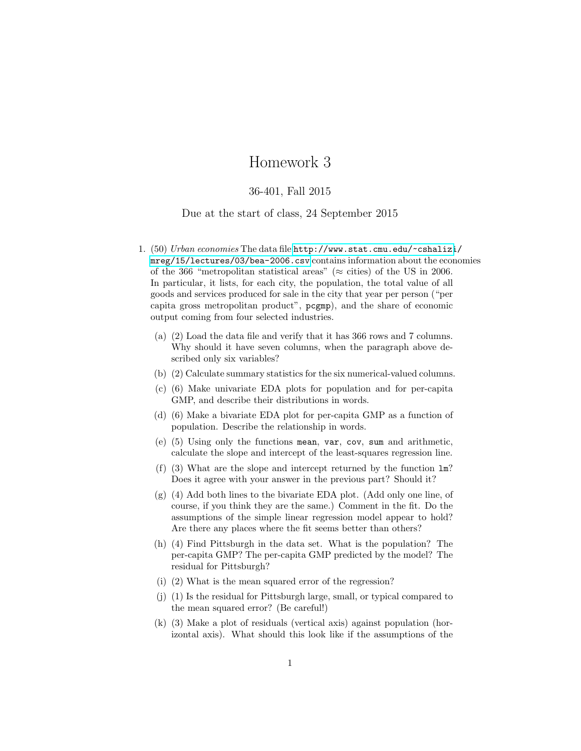## Homework 3

## 36-401, Fall 2015

## Due at the start of class, 24 September 2015

- 1. (50) Urban economies The data file [http://www.stat.cmu.edu/~cshalizi](http://www.stat.cmu.edu/~cshalizi/mreg/15/lectures/03/bea-2006.csv)/ [mreg/15/lectures/03/bea-2006.csv](http://www.stat.cmu.edu/~cshalizi/mreg/15/lectures/03/bea-2006.csv) contains information about the economies of the 366 "metropolitan statistical areas" ( $\approx$  cities) of the US in 2006. In particular, it lists, for each city, the population, the total value of all goods and services produced for sale in the city that year per person ("per capita gross metropolitan product", pcgmp), and the share of economic output coming from four selected industries.
	- (a) (2) Load the data file and verify that it has 366 rows and 7 columns. Why should it have seven columns, when the paragraph above described only six variables?
	- (b) (2) Calculate summary statistics for the six numerical-valued columns.
	- (c) (6) Make univariate EDA plots for population and for per-capita GMP, and describe their distributions in words.
	- (d) (6) Make a bivariate EDA plot for per-capita GMP as a function of population. Describe the relationship in words.
	- (e) (5) Using only the functions mean, var, cov, sum and arithmetic, calculate the slope and intercept of the least-squares regression line.
	- (f) (3) What are the slope and intercept returned by the function lm? Does it agree with your answer in the previous part? Should it?
	- (g) (4) Add both lines to the bivariate EDA plot. (Add only one line, of course, if you think they are the same.) Comment in the fit. Do the assumptions of the simple linear regression model appear to hold? Are there any places where the fit seems better than others?
	- (h) (4) Find Pittsburgh in the data set. What is the population? The per-capita GMP? The per-capita GMP predicted by the model? The residual for Pittsburgh?
	- (i) (2) What is the mean squared error of the regression?
	- (j) (1) Is the residual for Pittsburgh large, small, or typical compared to the mean squared error? (Be careful!)
	- (k) (3) Make a plot of residuals (vertical axis) against population (horizontal axis). What should this look like if the assumptions of the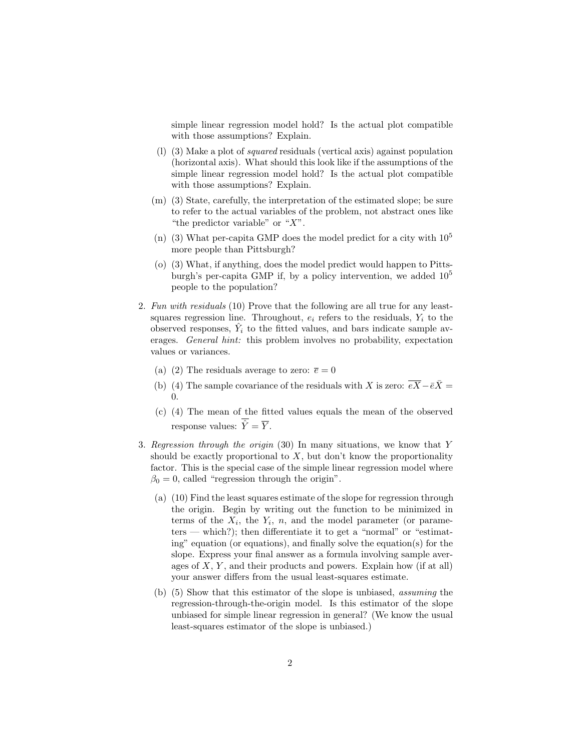simple linear regression model hold? Is the actual plot compatible with those assumptions? Explain.

- (l) (3) Make a plot of squared residuals (vertical axis) against population (horizontal axis). What should this look like if the assumptions of the simple linear regression model hold? Is the actual plot compatible with those assumptions? Explain.
- (m) (3) State, carefully, the interpretation of the estimated slope; be sure to refer to the actual variables of the problem, not abstract ones like "the predictor variable" or " $X$ ".
- (n) (3) What per-capita GMP does the model predict for a city with  $10^5$ more people than Pittsburgh?
- (o) (3) What, if anything, does the model predict would happen to Pittsburgh's per-capita GMP if, by a policy intervention, we added  $10<sup>5</sup>$ people to the population?
- 2. Fun with residuals (10) Prove that the following are all true for any leastsquares regression line. Throughout,  $e_i$  refers to the residuals,  $Y_i$  to the observed responses,  $\hat{Y}_i$  to the fitted values, and bars indicate sample averages. General hint: this problem involves no probability, expectation values or variances.
	- (a) (2) The residuals average to zero:  $\bar{e} = 0$
	- (b) (4) The sample covariance of the residuals with X is zero:  $\overline{eX} \overline{eX} =$ 0.
	- (c) (4) The mean of the fitted values equals the mean of the observed response values:  $\overline{\hat{Y}} = \overline{Y}$ .
- 3. Regression through the origin (30) In many situations, we know that Y should be exactly proportional to  $X$ , but don't know the proportionality factor. This is the special case of the simple linear regression model where  $\beta_0 = 0$ , called "regression through the origin".
	- (a) (10) Find the least squares estimate of the slope for regression through the origin. Begin by writing out the function to be minimized in terms of the  $X_i$ , the  $Y_i$ , n, and the model parameter (or parameters — which?); then differentiate it to get a "normal" or "estimating" equation (or equations), and finally solve the equation(s) for the slope. Express your final answer as a formula involving sample averages of  $X, Y$ , and their products and powers. Explain how (if at all) your answer differs from the usual least-squares estimate.
	- (b) (5) Show that this estimator of the slope is unbiased, assuming the regression-through-the-origin model. Is this estimator of the slope unbiased for simple linear regression in general? (We know the usual least-squares estimator of the slope is unbiased.)